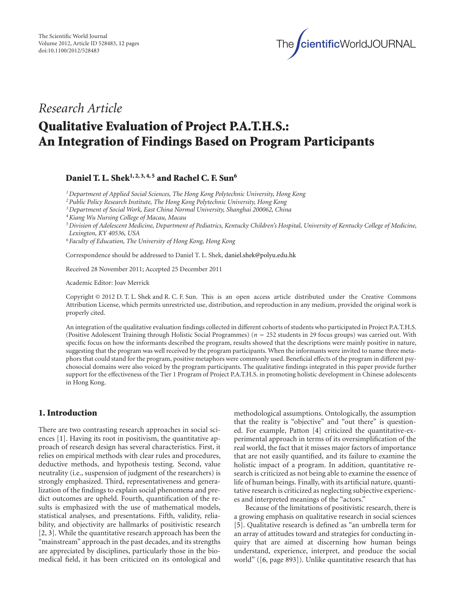

# *Research Article*

# **Qualitative Evaluation of Project P.A.T.H.S.: An Integration of Findings Based on Program Participants**

Daniel T. L. Shek<sup>1, 2, 3, 4, 5</sup> and Rachel C. F. Sun<sup>6</sup>

*1Department of Applied Social Sciences, The Hong Kong Polytechnic University, Hong Kong*

*2Public Policy Research Institute, The Hong Kong Polytechnic University, Hong Kong*

*3Department of Social Work, East China Normal University, Shanghai 200062, China*

*4Kiang Wu Nursing College of Macau, Macau*

*5Division of Adolescent Medicine, Department of Pediatrics, Kentucky Children's Hospital, University of Kentucky College of Medicine, Lexington, KY 40536, USA*

*<sup>6</sup> Faculty of Education, The University of Hong Kong, Hong Kong*

Correspondence should be addressed to Daniel T. L. Shek, daniel.shek@polyu.edu.hk

Received 28 November 2011; Accepted 25 December 2011

Academic Editor: Joav Merrick

Copyright © 2012 D. T. L. Shek and R. C. F. Sun. This is an open access article distributed under the Creative Commons Attribution License, which permits unrestricted use, distribution, and reproduction in any medium, provided the original work is properly cited.

An integration of the qualitative evaluation findings collected in different cohorts of students who participated in Project P.A.T.H.S. (Positive Adolescent Training through Holistic Social Programmes) (*<sup>n</sup> <sup>=</sup>* 252 students in 29 focus groups) was carried out. With specific focus on how the informants described the program, results showed that the descriptions were mainly positive in nature, suggesting that the program was well received by the program participants. When the informants were invited to name three metaphors that could stand for the program, positive metaphors were commonly used. Beneficial effects of the program in different psychosocial domains were also voiced by the program participants. The qualitative findings integrated in this paper provide further support for the effectiveness of the Tier 1 Program of Project P.A.T.H.S. in promoting holistic development in Chinese adolescents in Hong Kong.

### **1. Introduction**

There are two contrasting research approaches in social sciences [1]. Having its root in positivism, the quantitative approach of research design has several characteristics. First, it relies on empirical methods with clear rules and procedures, deductive methods, and hypothesis testing. Second, value neutrality (i.e., suspension of judgment of the researchers) is strongly emphasized. Third, representativeness and generalization of the findings to explain social phenomena and predict outcomes are upheld. Fourth, quantification of the results is emphasized with the use of mathematical models, statistical analyses, and presentations. Fifth, validity, reliability, and objectivity are hallmarks of positivistic research [2, 3]. While the quantitative research approach has been the "mainstream" approach in the past decades, and its strengths are appreciated by disciplines, particularly those in the biomedical field, it has been criticized on its ontological and methodological assumptions. Ontologically, the assumption that the reality is "objective" and "out there" is questioned. For example, Patton [4] criticized the quantitative-experimental approach in terms of its oversimplification of the real world, the fact that it misses major factors of importance that are not easily quantified, and its failure to examine the holistic impact of a program. In addition, quantitative research is criticized as not being able to examine the essence of life of human beings. Finally, with its artificial nature, quantitative research is criticized as neglecting subjective experiences and interpreted meanings of the "actors."

Because of the limitations of positivistic research, there is a growing emphasis on qualitative research in social sciences [5]. Qualitative research is defined as "an umbrella term for an array of attitudes toward and strategies for conducting inquiry that are aimed at discerning how human beings understand, experience, interpret, and produce the social world" ([6, page 893]). Unlike quantitative research that has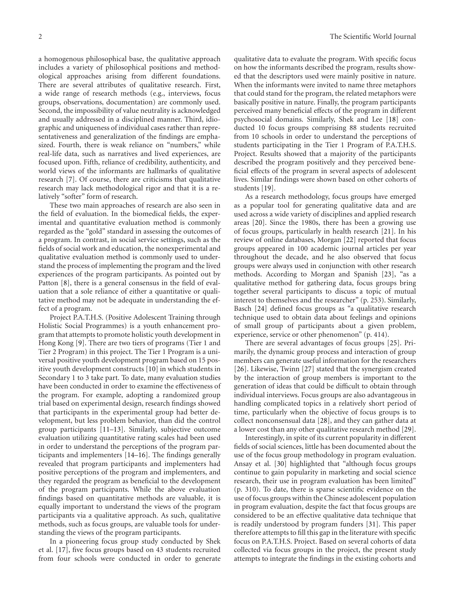a homogenous philosophical base, the qualitative approach includes a variety of philosophical positions and methodological approaches arising from different foundations. There are several attributes of qualitative research. First, a wide range of research methods (e.g., interviews, focus groups, observations, documentation) are commonly used. Second, the impossibility of value neutrality is acknowledged and usually addressed in a disciplined manner. Third, idiographic and uniqueness of individual cases rather than representativeness and generalization of the findings are emphasized. Fourth, there is weak reliance on "numbers," while real-life data, such as narratives and lived experiences, are focused upon. Fifth, reliance of credibility, authenticity, and world views of the informants are hallmarks of qualitative research [7]. Of course, there are criticisms that qualitative research may lack methodological rigor and that it is a relatively "softer" form of research.

These two main approaches of research are also seen in the field of evaluation. In the biomedical fields, the experimental and quantitative evaluation method is commonly regarded as the "gold" standard in assessing the outcomes of a program. In contrast, in social service settings, such as the fields of social work and education, the nonexperimental and qualitative evaluation method is commonly used to understand the process of implementing the program and the lived experiences of the program participants. As pointed out by Patton [8], there is a general consensus in the field of evaluation that a sole reliance of either a quantitative or qualitative method may not be adequate in understanding the effect of a program.

Project P.A.T.H.S. (Positive Adolescent Training through Holistic Social Programmes) is a youth enhancement program that attempts to promote holistic youth development in Hong Kong [9]. There are two tiers of programs (Tier 1 and Tier 2 Program) in this project. The Tier 1 Program is a universal positive youth development program based on 15 positive youth development constructs [10] in which students in Secondary 1 to 3 take part. To date, many evaluation studies have been conducted in order to examine the effectiveness of the program. For example, adopting a randomized group trial based on experimental design, research findings showed that participants in the experimental group had better development, but less problem behavior, than did the control group participants [11–13]. Similarly, subjective outcome evaluation utilizing quantitative rating scales had been used in order to understand the perceptions of the program participants and implementers [14–16]. The findings generally revealed that program participants and implementers had positive perceptions of the program and implementers, and they regarded the program as beneficial to the development of the program participants. While the above evaluation findings based on quantitative methods are valuable, it is equally important to understand the views of the program participants via a qualitative approach. As such, qualitative methods, such as focus groups, are valuable tools for understanding the views of the program participants.

In a pioneering focus group study conducted by Shek et al. [17], five focus groups based on 43 students recruited from four schools were conducted in order to generate

qualitative data to evaluate the program. With specific focus on how the informants described the program, results showed that the descriptors used were mainly positive in nature. When the informants were invited to name three metaphors that could stand for the program, the related metaphors were basically positive in nature. Finally, the program participants perceived many beneficial effects of the program in different psychosocial domains. Similarly, Shek and Lee [18] conducted 10 focus groups comprising 88 students recruited from 10 schools in order to understand the perceptions of students participating in the Tier 1 Program of P.A.T.H.S. Project. Results showed that a majority of the participants described the program positively and they perceived beneficial effects of the program in several aspects of adolescent lives. Similar findings were shown based on other cohorts of students [19].

As a research methodology, focus groups have emerged as a popular tool for generating qualitative data and are used across a wide variety of disciplines and applied research areas [20]. Since the 1980s, there has been a growing use of focus groups, particularly in health research [21]. In his review of online databases, Morgan [22] reported that focus groups appeared in 100 academic journal articles per year throughout the decade, and he also observed that focus groups were always used in conjunction with other research methods. According to Morgan and Spanish [23], "as a qualitative method for gathering data, focus groups bring together several participants to discuss a topic of mutual interest to themselves and the researcher" (p. 253). Similarly, Basch [24] defined focus groups as "a qualitative research technique used to obtain data about feelings and opinions of small group of participants about a given problem, experience, service or other phenomenon" (p. 414).

There are several advantages of focus groups [25]. Primarily, the dynamic group process and interaction of group members can generate useful information for the researchers [26]. Likewise, Twinn [27] stated that the synergism created by the interaction of group members is important to the generation of ideas that could be difficult to obtain through individual interviews. Focus groups are also advantageous in handling complicated topics in a relatively short period of time, particularly when the objective of focus groups is to collect nonconsensual data [28], and they can gather data at a lower cost than any other qualitative research method [29].

Interestingly, in spite of its current popularity in different fields of social sciences, little has been documented about the use of the focus group methodology in program evaluation. Ansay et al. [30] highlighted that "although focus groups continue to gain popularity in marketing and social science research, their use in program evaluation has been limited" (p. 310). To date, there is sparse scientific evidence on the use of focus groups within the Chinese adolescent population in program evaluation, despite the fact that focus groups are considered to be an effective qualitative data technique that is readily understood by program funders [31]. This paper therefore attempts to fill this gap in the literature with specific focus on P.A.T.H.S. Project. Based on several cohorts of data collected via focus groups in the project, the present study attempts to integrate the findings in the existing cohorts and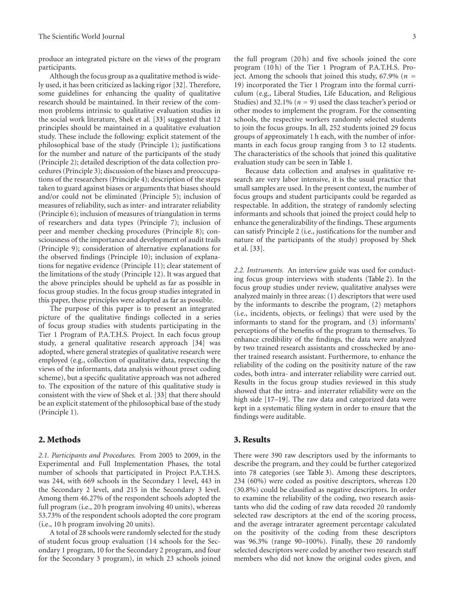produce an integrated picture on the views of the program participants.

Although the focus group as a qualitative method is widely used, it has been criticized as lacking rigor [32]. Therefore, some guidelines for enhancing the quality of qualitative research should be maintained. In their review of the common problems intrinsic to qualitative evaluation studies in the social work literature, Shek et al. [33] suggested that 12 principles should be maintained in a qualitative evaluation study. These include the following: explicit statement of the philosophical base of the study (Principle 1); justifications for the number and nature of the participants of the study (Principle 2); detailed description of the data collection procedures (Principle 3); discussion of the biases and preoccupations of the researchers (Principle 4); description of the steps taken to guard against biases or arguments that biases should and/or could not be eliminated (Principle 5); inclusion of measures of reliability, such as inter- and intrarater reliability (Principle 6); inclusion of measures of triangulation in terms of researchers and data types (Principle 7); inclusion of peer and member checking procedures (Principle 8); consciousness of the importance and development of audit trails (Principle 9); consideration of alternative explanations for the observed findings (Principle 10); inclusion of explanations for negative evidence (Principle 11); clear statement of the limitations of the study (Principle 12). It was argued that the above principles should be upheld as far as possible in focus group studies. In the focus group studies integrated in this paper, these principles were adopted as far as possible.

The purpose of this paper is to present an integrated picture of the qualitative findings collected in a series of focus group studies with students participating in the Tier 1 Program of P.A.T.H.S. Project. In each focus group study, a general qualitative research approach [34] was adopted, where general strategies of qualitative research were employed (e.g., collection of qualitative data, respecting the views of the informants, data analysis without preset coding scheme), but a specific qualitative approach was not adhered to. The exposition of the nature of this qualitative study is consistent with the view of Shek et al. [33] that there should be an explicit statement of the philosophical base of the study (Principle 1).

#### **2. Methods**

*2.1. Participants and Procedures.* From 2005 to 2009, in the Experimental and Full Implementation Phases, the total number of schools that participated in Project P.A.T.H.S. was 244, with 669 schools in the Secondary 1 level, 443 in the Secondary 2 level, and 215 in the Secondary 3 level. Among them 46.27% of the respondent schools adopted the full program (i.e., 20 h program involving 40 units), whereas 53.73% of the respondent schools adopted the core program (i.e., 10 h program involving 20 units).

A total of 28 schools were randomly selected for the study of student focus group evaluation (14 schools for the Secondary 1 program, 10 for the Secondary 2 program, and four for the Secondary 3 program), in which 23 schools joined

the full program (20 h) and five schools joined the core program (10 h) of the Tier 1 Program of P.A.T.H.S. Project. Among the schools that joined this study, 67.9% (*<sup>n</sup> <sup>=</sup>* 19) incorporated the Tier 1 Program into the formal curriculum (e.g., Liberal Studies, Life Education, and Religious Studies) and 32.1% ( $n = 9$ ) used the class teacher's period or other modes to implement the program. For the consenting schools, the respective workers randomly selected students to join the focus groups. In all, 252 students joined 29 focus groups of approximately 1 h each, with the number of informants in each focus group ranging from 3 to 12 students. The characteristics of the schools that joined this qualitative evaluation study can be seen in Table 1.

Because data collection and analyses in qualitative research are very labor intensive, it is the usual practice that small samples are used. In the present context, the number of focus groups and student participants could be regarded as respectable. In addition, the strategy of randomly selecting informants and schools that joined the project could help to enhance the generalizability of the findings. These arguments can satisfy Principle 2 (i.e., justifications for the number and nature of the participants of the study) proposed by Shek et al. [33].

*2.2. Instruments.* An interview guide was used for conducting focus group interviews with students (Table 2). In the focus group studies under review, qualitative analyses were analyzed mainly in three areas: (1) descriptors that were used by the informants to describe the program, (2) metaphors (i.e., incidents, objects, or feelings) that were used by the informants to stand for the program, and (3) informants' perceptions of the benefits of the program to themselves. To enhance credibility of the findings, the data were analyzed by two trained research assistants and crosschecked by another trained research assistant. Furthermore, to enhance the reliability of the coding on the positivity nature of the raw codes, both intra- and interrater reliability were carried out. Results in the focus group studies reviewed in this study showed that the intra- and interrater reliability were on the high side [17–19]. The raw data and categorized data were kept in a systematic filing system in order to ensure that the findings were auditable.

#### **3. Results**

There were 390 raw descriptors used by the informants to describe the program, and they could be further categorized into 78 categories (see Table 3). Among these descriptors, 234 (60%) were coded as positive descriptors, whereas 120 (30.8%) could be classified as negative descriptors. In order to examine the reliability of the coding, two research assistants who did the coding of raw data recoded 20 randomly selected raw descriptors at the end of the scoring process, and the average intrarater agreement percentage calculated on the positivity of the coding from these descriptors was 96.3% (range 90–100%). Finally, these 20 randomly selected descriptors were coded by another two research staff members who did not know the original codes given, and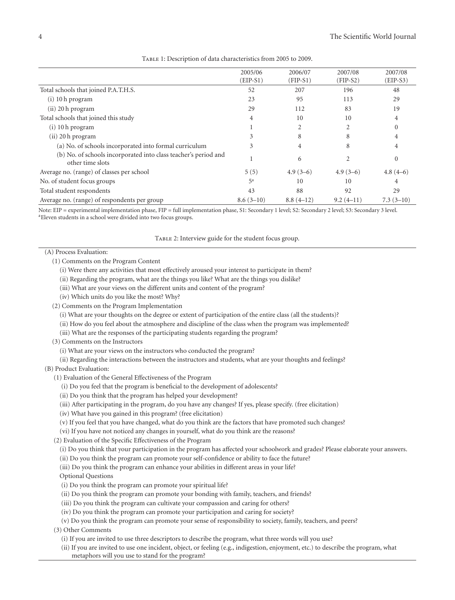|                                                                                     | 2005/06        | 2006/07     | 2007/08        | 2007/08     |
|-------------------------------------------------------------------------------------|----------------|-------------|----------------|-------------|
|                                                                                     | $(EIP-S1)$     | $(FIP-S1)$  | $(FIP-S2)$     | $(EIP-S3)$  |
| Total schools that joined P.A.T.H.S.                                                | 52             | 207         | 196            | 48          |
| $(i)$ 10 h program                                                                  | 23             | 95          | 113            | 29          |
| (ii) 20 h program                                                                   | 29             | 112         | 83             | 19          |
| Total schools that joined this study                                                | 4              | 10          | 10             | 4           |
| (i) 10 h program                                                                    |                | 2           |                |             |
| (ii) 20 h program                                                                   | 3              | 8           | 8              |             |
| (a) No. of schools incorporated into formal curriculum                              | 3              | 4           | 8              |             |
| (b) No. of schools incorporated into class teacher's period and<br>other time slots |                | 6           | $\mathfrak{D}$ |             |
| Average no. (range) of classes per school                                           | 5(5)           | $4.9(3-6)$  | $4.9(3-6)$     | $4.8(4-6)$  |
| No. of student focus groups                                                         | 5 <sup>a</sup> | 10          | 10             | 4           |
| Total student respondents                                                           | 43             | 88          | 92             | 29          |
| Average no. (range) of respondents per group                                        | $8.6(3-10)$    | $8.8(4-12)$ | $9.2(4-11)$    | $7.3(3-10)$ |

Table 1: Description of data characteristics from 2005 to 2009.

Note: EIP = experimental implementation phase, FIP = full implementation phase, S1: Secondary 1 level; S2: Secondary 2 level; S3: Secondary 3 level. aEleven students in a school were divided into two focus groups.

TABLE 2: Interview guide for the student focus group.

#### (A) Process Evaluation:

(1) Comments on the Program Content

- (i) Were there any activities that most effectively aroused your interest to participate in them?
- (ii) Regarding the program, what are the things you like? What are the things you dislike?
- (iii) What are your views on the different units and content of the program?
- (iv) Which units do you like the most? Why?
- (2) Comments on the Program Implementation

(i) What are your thoughts on the degree or extent of participation of the entire class (all the students)?

(ii) How do you feel about the atmosphere and discipline of the class when the program was implemented?

(iii) What are the responses of the participating students regarding the program?

(3) Comments on the Instructors

(i) What are your views on the instructors who conducted the program?

(ii) Regarding the interactions between the instructors and students, what are your thoughts and feelings?

#### (B) Product Evaluation:

(1) Evaluation of the General Effectiveness of the Program

(i) Do you feel that the program is beneficial to the development of adolescents?

(ii) Do you think that the program has helped your development?

(iii) After participating in the program, do you have any changes? If yes, please specify. (free elicitation)

(iv) What have you gained in this program? (free elicitation)

- (v) If you feel that you have changed, what do you think are the factors that have promoted such changes?
- (vi) If you have not noticed any changes in yourself, what do you think are the reasons?

(2) Evaluation of the Specific Effectiveness of the Program

(i) Do you think that your participation in the program has affected your schoolwork and grades? Please elaborate your answers.

(ii) Do you think the program can promote your self-confidence or ability to face the future?

(iii) Do you think the program can enhance your abilities in different areas in your life?

Optional Questions

- (i) Do you think the program can promote your spiritual life?
- (ii) Do you think the program can promote your bonding with family, teachers, and friends?
- (iii) Do you think the program can cultivate your compassion and caring for others?
- (iv) Do you think the program can promote your participation and caring for society?
- (v) Do you think the program can promote your sense of responsibility to society, family, teachers, and peers?

(3) Other Comments

(i) If you are invited to use three descriptors to describe the program, what three words will you use?

(ii) If you are invited to use one incident, object, or feeling (e.g., indigestion, enjoyment, etc.) to describe the program, what metaphors will you use to stand for the program?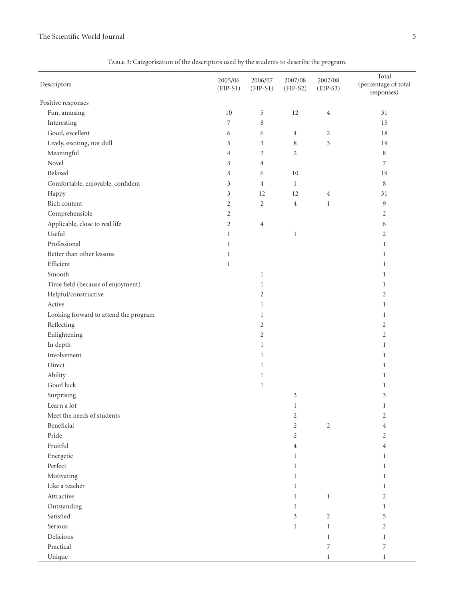## The Scientific World Journal 5

| Descriptors                           | 2005/06<br>$(EIP-S1)$       | 2006/07<br>$(FIP-S1)$ | 2007/08<br>$(FIP-S2)$ | 2007/08<br>$(EIP-S3)$       | Total<br>(percentage of total<br>responses) |
|---------------------------------------|-----------------------------|-----------------------|-----------------------|-----------------------------|---------------------------------------------|
| Positive responses                    |                             |                       |                       |                             |                                             |
| Fun, amusing                          | $10\,$                      | 5                     | $12\,$                | $\,4\,$                     | $31\,$                                      |
| Interesting                           | 7                           | $\,$ 8 $\,$           |                       |                             | 15                                          |
| Good, excellent                       | 6                           | 6                     | $\overline{4}$        | $\overline{2}$              | 18                                          |
| Lively, exciting, not dull            | 5                           | 3                     | $\,8\,$               | $\ensuremath{\mathfrak{Z}}$ | 19                                          |
| Meaningful                            | $\overline{4}$              | 2                     | $\overline{c}$        |                             | 8                                           |
| Novel                                 | 3                           | 4                     |                       |                             | 7                                           |
| Relaxed                               | 3                           | 6                     | $10\,$                |                             | 19                                          |
| Comfortable, enjoyable, confident     | 3                           | $\overline{4}$        | $\mathbf{1}$          |                             | 8                                           |
| Happy                                 | $\ensuremath{\mathfrak{Z}}$ | 12                    | 12                    | $\overline{4}$              | 31                                          |
| Rich content                          | $\overline{2}$              | $\mathbf{2}$          | $\overline{4}$        | $\mathbf{1}$                | 9                                           |
| Comprehensible                        | $\mathbf{2}$                |                       |                       |                             | $\overline{2}$                              |
| Applicable, close to real life        | $\sqrt{2}$                  | $\,4$                 |                       |                             | 6                                           |
| Useful                                | $\mathbf{1}$                |                       | $\,1$                 |                             | $\overline{c}$                              |
| Professional                          | $\mathbf{1}$                |                       |                       |                             | 1                                           |
| Better than other lessons             | $\mathbf{1}$                |                       |                       |                             | 1                                           |
| Efficient                             | $\mathbf{1}$                |                       |                       |                             | 1                                           |
| Smooth                                |                             | $\mathbf 1$           |                       |                             | $\mathbf{1}$                                |
| Time field (because of enjoyment)     |                             | $\mathbf{1}$          |                       |                             | 1                                           |
| Helpful/constructive                  |                             | 2                     |                       |                             | $\overline{c}$                              |
| Active                                |                             | 1                     |                       |                             | $\mathbf{1}$                                |
| Looking forward to attend the program |                             | $\mathbf{1}$          |                       |                             | 1                                           |
| Reflecting                            |                             | 2                     |                       |                             | 2                                           |
| Enlightening                          |                             | 2                     |                       |                             | $\overline{2}$                              |
| In depth                              |                             | 1                     |                       |                             | 1                                           |
| Involvement                           |                             | $\mathbf{1}$          |                       |                             | 1                                           |
| Direct                                |                             | $\mathbf{1}$          |                       |                             | 1                                           |
| Ability                               |                             | 1                     |                       |                             | 1                                           |
| Good luck                             |                             | $\mathbf{1}$          |                       |                             | 1                                           |
| Surprising                            |                             |                       | 3                     |                             | 3                                           |
| Learn a lot                           |                             |                       | $\mathbf{1}$          |                             | 1                                           |
| Meet the needs of students            |                             |                       | $\overline{c}$        |                             | $\overline{c}$                              |
| Beneficial                            |                             |                       | $\overline{c}$        | $\sqrt{2}$                  | 4                                           |
| Pride                                 |                             |                       | $\overline{c}$        |                             | 2                                           |
| Fruitful                              |                             |                       | $\overline{4}$        |                             | 4                                           |
| Energetic                             |                             |                       | $\mathbf{1}$          |                             | 1                                           |
| Perfect                               |                             |                       | 1                     |                             | 1                                           |
| Motivating                            |                             |                       | 1                     |                             | 1                                           |
| Like a teacher                        |                             |                       | 1                     |                             | 1                                           |
| Attractive                            |                             |                       | $\mathbf{1}$          | $\mathbf{1}$                | 2                                           |
| Outstanding                           |                             |                       | 1                     |                             | 1                                           |
| Satisfied                             |                             |                       | 3                     | $\sqrt{2}$                  | 5                                           |
| Serious                               |                             |                       | $\mathbf{1}$          | $\mathbf{1}$                | 2                                           |
| Delicious                             |                             |                       |                       | 1                           | 1                                           |
| Practical                             |                             |                       |                       | 7                           | 7                                           |
| Unique                                |                             |                       |                       | $\mathbf{1}$                | $\mathbf{1}$                                |

Table 3: Categorization of the descriptors used by the students to describe the program.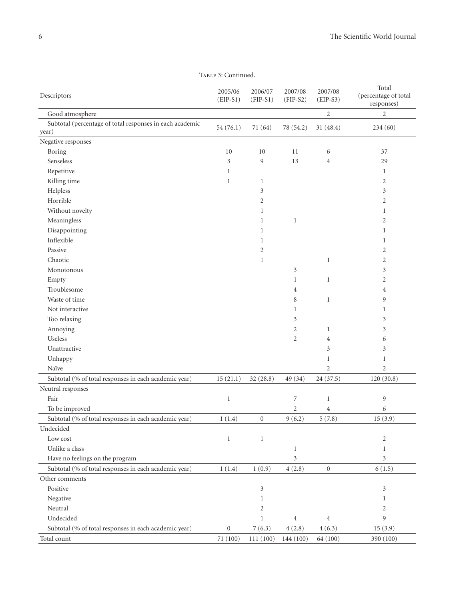| Descriptors                                                       | 2005/06<br>$(EIP-S1)$ | 2006/07<br>$(FIP-S1)$   | 2007/08<br>$(FIP-S2)$ | 2007/08<br>$(EIP-S3)$ | Total<br>(percentage of total<br>responses) |
|-------------------------------------------------------------------|-----------------------|-------------------------|-----------------------|-----------------------|---------------------------------------------|
| Good atmosphere                                                   |                       |                         |                       | $\mathbf{2}$          | $\overline{2}$                              |
| Subtotal (percentage of total responses in each academic<br>year) | 54(76.1)              | 71 (64)                 | 78 (54.2)             | 31(48.4)              | 234 (60)                                    |
| Negative responses                                                |                       |                         |                       |                       |                                             |
| Boring                                                            | 10                    | 10                      | 11                    | 6                     | 37                                          |
| Senseless                                                         | 3                     | 9                       | 13                    | $\overline{4}$        | 29                                          |
| Repetitive                                                        | 1                     |                         |                       |                       | 1                                           |
| Killing time                                                      | $\mathbf{1}$          | $\mathbf{1}$            |                       |                       | $\overline{2}$                              |
| Helpless                                                          |                       | 3                       |                       |                       | 3                                           |
| Horrible                                                          |                       | 2                       |                       |                       | $\overline{c}$                              |
| Without novelty                                                   |                       | $\mathbf{1}$            |                       |                       | 1                                           |
| Meaningless                                                       |                       | $\mathbf{1}$            | $\mathbf{1}$          |                       | $\overline{c}$                              |
| Disappointing                                                     |                       | $\mathbf{1}$            |                       |                       | 1                                           |
| Inflexible                                                        |                       | $\mathbf{1}$            |                       |                       | $\mathbf{1}$                                |
| Passive                                                           |                       | 2                       |                       |                       | $\overline{c}$                              |
| Chaotic                                                           |                       | $\mathbf{1}$            |                       | $\mathbf{1}$          | $\overline{c}$                              |
| Monotonous                                                        |                       |                         | 3                     |                       | 3                                           |
| Empty                                                             |                       |                         | 1                     | $\mathbf{1}$          | 2                                           |
| Troublesome                                                       |                       |                         | 4                     |                       | 4                                           |
| Waste of time                                                     |                       |                         | 8                     | $\mathbf{1}$          | 9                                           |
| Not interactive                                                   |                       |                         | 1                     |                       | 1                                           |
| Too relaxing                                                      |                       |                         | 3                     |                       | 3                                           |
| Annoying                                                          |                       |                         | $\overline{c}$        | $\mathbf{1}$          | 3                                           |
| Useless                                                           |                       |                         | $\overline{2}$        | $\overline{4}$        | 6                                           |
| Unattractive                                                      |                       |                         |                       | 3                     | 3                                           |
| Unhappy                                                           |                       |                         |                       | $\mathbf{1}$          | $\mathbf{1}$                                |
| Naïve                                                             |                       |                         |                       | $\overline{2}$        | $\overline{2}$                              |
| Subtotal (% of total responses in each academic year)             | 15(21.1)              | 32(28.8)                | 49 (34)               | 24 (37.5)             | 120 (30.8)                                  |
| Neutral responses                                                 |                       |                         |                       |                       |                                             |
| Fair                                                              | $\,1$                 |                         | 7                     | $\mathbf{1}$          | 9                                           |
| To be improved                                                    |                       |                         | $\overline{2}$        | $\overline{4}$        | 6                                           |
| Subtotal (% of total responses in each academic year)             | 1(1.4)                | $\boldsymbol{0}$        | 9(6.2)                | 5(7.8)                | 15(3.9)                                     |
| Undecided                                                         |                       |                         |                       |                       |                                             |
| Low cost                                                          | $\mathbf{1}$          | $\mathbf{1}$            |                       |                       | 2                                           |
| Unlike a class                                                    |                       |                         | $\mathbf{1}$          |                       | $\mathbf{1}$                                |
| Have no feelings on the program                                   |                       |                         | $\mathfrak{Z}$        |                       | 3                                           |
| Subtotal (% of total responses in each academic year)             | 1(1.4)                | 1(0.9)                  | 4(2.8)                | $\boldsymbol{0}$      | 6(1.5)                                      |
| Other comments                                                    |                       |                         |                       |                       |                                             |
| Positive                                                          |                       | $\mathfrak{Z}$          |                       |                       | 3                                           |
| Negative                                                          |                       | $\mathbf{1}$            |                       |                       | 1                                           |
| Neutral                                                           |                       | $\overline{\mathbf{c}}$ |                       |                       | 2                                           |
| Undecided                                                         |                       | $\mathbf{1}$            | $\overline{4}$        | $\overline{4}$        | 9                                           |
| Subtotal (% of total responses in each academic year)             | $\boldsymbol{0}$      | 7(6.3)                  | 4(2.8)                | 4(6.3)                | 15(3.9)                                     |
| Total count                                                       | 71 (100)              | 111(100)                | 144 (100)             | 64 (100)              | 390 (100)                                   |

TABLE 3: Continued.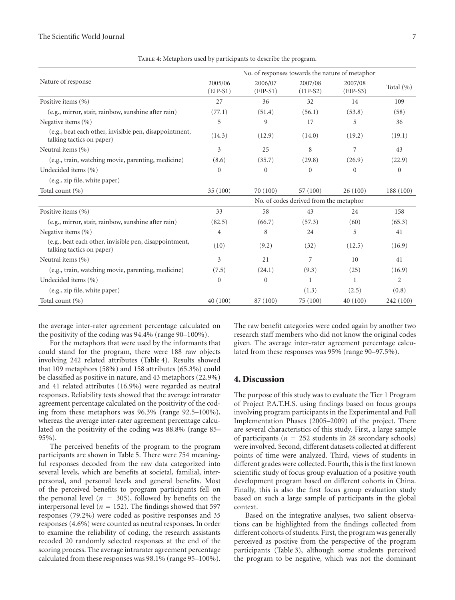|                                                                                     |                       | No. of responses towards the nature of metaphor |                                        |                       |                |
|-------------------------------------------------------------------------------------|-----------------------|-------------------------------------------------|----------------------------------------|-----------------------|----------------|
| Nature of response                                                                  | 2005/06<br>$(EIP-S1)$ | 2006/07<br>$(FIP-S1)$                           | 2007/08<br>$(FIP-S2)$                  | 2007/08<br>$(EIP-S3)$ | Total $(\% )$  |
| Positive items (%)                                                                  | 27                    | 36                                              | 32                                     | 14                    | 109            |
| (e.g., mirror, stair, rainbow, sunshine after rain)                                 | (77.1)                | (51.4)                                          | (56.1)                                 | (53.8)                | (58)           |
| Negative items $(\% )$                                                              | 5                     | 9                                               | 17                                     | 5                     | 36             |
| (e.g., beat each other, invisible pen, disappointment,<br>talking tactics on paper) | (14.3)                | (12.9)                                          | (14.0)                                 | (19.2)                | (19.1)         |
| Neutral items (%)                                                                   | 3                     | 25                                              | 8                                      | 7                     | 43             |
| (e.g., train, watching movie, parenting, medicine)                                  | (8.6)                 | (35.7)                                          | (29.8)                                 | (26.9)                | (22.9)         |
| Undecided items (%)                                                                 | $\Omega$              | $\Omega$                                        | $\Omega$                               | $\theta$              | $\overline{0}$ |
| (e.g., zip file, white paper)                                                       |                       |                                                 |                                        |                       |                |
| Total count (%)                                                                     | 35(100)               | 70 (100)                                        | 57 (100)                               | 26(100)               | 188 (100)      |
|                                                                                     |                       |                                                 | No. of codes derived from the metaphor |                       |                |
| Positive items (%)                                                                  | 33                    | 58                                              | 43                                     | 24                    | 158            |
| (e.g., mirror, stair, rainbow, sunshine after rain)                                 | (82.5)                | (66.7)                                          | (57.3)                                 | (60)                  | (65.3)         |
| Negative items (%)                                                                  | 4                     | 8                                               | 24                                     | 5                     | 41             |
| (e.g., beat each other, invisible pen, disappointment,<br>talking tactics on paper) | (10)                  | (9.2)                                           | (32)                                   | (12.5)                | (16.9)         |
| Neutral items (%)                                                                   | 3                     | 21                                              | 7                                      | 10                    | 41             |
| (e.g., train, watching movie, parenting, medicine)                                  | (7.5)                 | (24.1)                                          | (9.3)                                  | (25)                  | (16.9)         |
| Undecided items (%)                                                                 | $\mathbf{0}$          | $\mathbf{0}$                                    | 1                                      | 1                     | 2              |
| (e.g., zip file, white paper)                                                       |                       |                                                 | (1.3)                                  | (2.5)                 | (0.8)          |
| Total count (%)                                                                     | 40(100)               | 87 (100)                                        | 75 (100)                               | 40(100)               | 242 (100)      |

Table 4: Metaphors used by participants to describe the program.

the average inter-rater agreement percentage calculated on the positivity of the coding was 94.4% (range 90–100%).

For the metaphors that were used by the informants that could stand for the program, there were 188 raw objects involving 242 related attributes (Table 4). Results showed that 109 metaphors (58%) and 158 attributes (65.3%) could be classified as positive in nature, and 43 metaphors (22.9%) and 41 related attributes (16.9%) were regarded as neutral responses. Reliability tests showed that the average intrarater agreement percentage calculated on the positivity of the coding from these metaphors was 96.3% (range 92.5–100%), whereas the average inter-rater agreement percentage calculated on the positivity of the coding was 88.8% (range 85– 95%).

The perceived benefits of the program to the program participants are shown in Table 5. There were 754 meaningful responses decoded from the raw data categorized into several levels, which are benefits at societal, familial, interpersonal, and personal levels and general benefits. Most of the perceived benefits to program participants fell on the personal level ( $n = 305$ ), followed by benefits on the interpersonal level ( $n = 152$ ). The findings showed that 597 responses (79.2%) were coded as positive responses and 35 responses (4.6%) were counted as neutral responses. In order to examine the reliability of coding, the research assistants recoded 20 randomly selected responses at the end of the scoring process. The average intrarater agreement percentage calculated from these responses was 98.1% (range 95–100%).

The raw benefit categories were coded again by another two research staff members who did not know the original codes given. The average inter-rater agreement percentage calculated from these responses was 95% (range 90–97.5%).

#### **4. Discussion**

The purpose of this study was to evaluate the Tier 1 Program of Project P.A.T.H.S. using findings based on focus groups involving program participants in the Experimental and Full Implementation Phases (2005–2009) of the project. There are several characteristics of this study. First, a large sample of participants ( $n = 252$  students in 28 secondary schools) were involved. Second, different datasets collected at different points of time were analyzed. Third, views of students in different grades were collected. Fourth, this is the first known scientific study of focus group evaluation of a positive youth development program based on different cohorts in China. Finally, this is also the first focus group evaluation study based on such a large sample of participants in the global context.

Based on the integrative analyses, two salient observations can be highlighted from the findings collected from different cohorts of students. First, the program was generally perceived as positive from the perspective of the program participants (Table 3), although some students perceived the program to be negative, which was not the dominant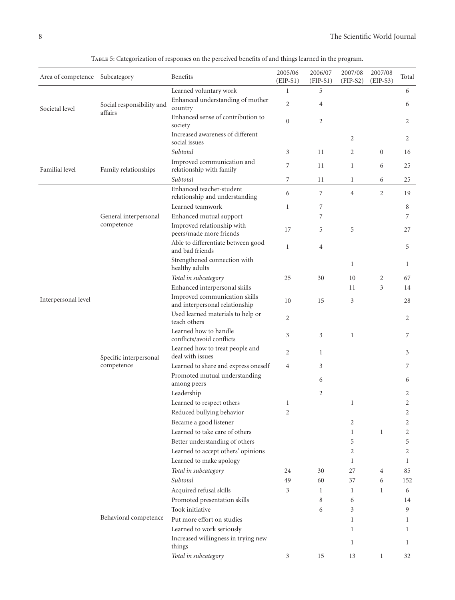| Area of competence Subcategory |                           | Benefits                                                        | 2005/06<br>$(EIP-S1)$ | 2006/07<br>$(FIP-S1)$ | 2007/08<br>$(FIP-S2)$ | 2007/08<br>$(EIP-S3)$ | Total |
|--------------------------------|---------------------------|-----------------------------------------------------------------|-----------------------|-----------------------|-----------------------|-----------------------|-------|
|                                |                           | Learned voluntary work                                          | 1                     | 5                     |                       |                       | 6     |
| Societal level                 | Social responsibility and | Enhanced understanding of mother<br>country                     | 2                     | 4                     |                       |                       | 6     |
|                                | affairs                   | Enhanced sense of contribution to<br>society                    | $\boldsymbol{0}$      | 2                     |                       |                       | 2     |
|                                |                           | Increased awareness of different<br>social issues               |                       |                       | $\overline{2}$        |                       | 2     |
|                                |                           | Subtotal                                                        | 3                     | 11                    | 2                     | $\boldsymbol{0}$      | 16    |
| Familial level                 | Family relationships      | Improved communication and<br>relationship with family          | 7                     | 11                    | $\mathbf{1}$          | 6                     | 25    |
|                                |                           | Subtotal                                                        | 7                     | 11                    | 1                     | 6                     | 25    |
|                                |                           | Enhanced teacher-student<br>relationship and understanding      | 6                     | 7                     | $\overline{4}$        | 2                     | 19    |
|                                |                           | Learned teamwork                                                | 1                     | 7                     |                       |                       | 8     |
|                                | General interpersonal     | Enhanced mutual support                                         |                       | 7                     |                       |                       | 7     |
|                                | competence                | Improved relationship with<br>peers/made more friends           | 17                    | 5                     | 5                     |                       | 27    |
| Interpersonal level            |                           | Able to differentiate between good<br>and bad friends           | 1                     | 4                     |                       |                       | 5     |
|                                |                           | Strengthened connection with<br>healthy adults                  |                       |                       | 1                     |                       | 1     |
|                                |                           | Total in subcategory                                            | 25                    | 30                    | 10                    | 2                     | 67    |
|                                |                           | Enhanced interpersonal skills                                   |                       |                       | 11                    | 3                     | 14    |
|                                |                           | Improved communication skills<br>and interpersonal relationship | 10                    | 15                    | 3                     |                       | 28    |
|                                |                           | Used learned materials to help or<br>teach others               | 2                     |                       |                       |                       | 2     |
|                                | Specific interpersonal    | Learned how to handle<br>conflicts/avoid conflicts              | 3                     | 3                     | 1                     |                       | 7     |
|                                |                           | Learned how to treat people and<br>deal with issues             | 2                     | 1                     |                       |                       | 3     |
|                                | competence                | Learned to share and express oneself                            | $\overline{4}$        | 3                     |                       |                       | 7     |
|                                |                           | Promoted mutual understanding<br>among peers                    |                       | 6                     |                       |                       | 6     |
|                                |                           | Leadership                                                      |                       | 2                     |                       |                       | 2     |
|                                |                           | Learned to respect others                                       | 1                     |                       |                       |                       | 2     |
|                                |                           | Reduced bullying behavior                                       | 2                     |                       |                       |                       | 2     |
|                                |                           | Became a good listener                                          |                       |                       | $\overline{c}$        |                       | 2     |
|                                |                           | Learned to take care of others                                  |                       |                       | 1                     | $\mathbf{1}$          | 2     |
|                                |                           | Better understanding of others                                  |                       |                       | 5                     |                       | 5     |
|                                |                           | Learned to accept others' opinions                              |                       |                       | 2                     |                       | 2     |
|                                |                           | Learned to make apology                                         |                       |                       | 1                     |                       | 1     |
|                                |                           | Total in subcategory                                            | 24                    | 30                    | 27                    | $\overline{4}$        | 85    |
|                                |                           | Subtotal                                                        | 49                    | 60                    | 37                    | 6                     | 152   |
|                                |                           | Acquired refusal skills                                         | $\overline{3}$        | $\mathbf{1}$          | $\mathbf{1}$          | $\mathbf{1}$          | 6     |
|                                |                           | Promoted presentation skills                                    |                       | 8                     | 6                     |                       | 14    |
|                                |                           | Took initiative                                                 |                       | 6                     | 3                     |                       | 9     |
|                                | Behavioral competence     | Put more effort on studies                                      |                       |                       | 1                     |                       | 1     |
|                                |                           | Learned to work seriously                                       |                       |                       | 1                     |                       | 1     |
|                                |                           | Increased willingness in trying new<br>things                   |                       |                       | 1                     |                       | 1     |
|                                |                           | Total in subcategory                                            | 3                     | 15                    | 13                    | $\mathbf{1}$          | 32    |

Table 5: Categorization of responses on the perceived benefits of and things learned in the program.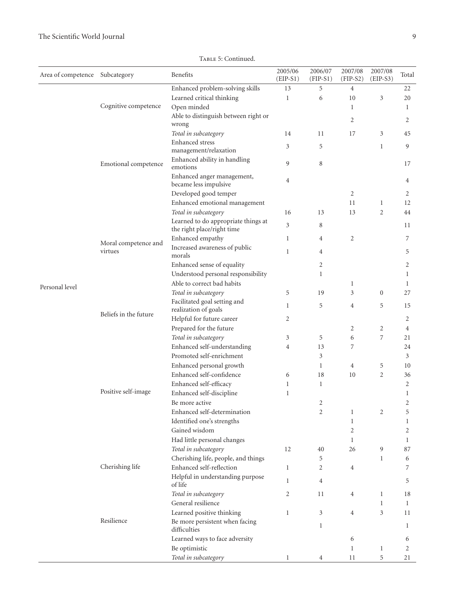| Area of competence Subcategory |                                 | Benefits                                                          | 2005/06<br>$(EIP-S1)$ | 2006/07<br>$(FIP-S1)$ | 2007/08<br>$(FIP-S2)$ | 2007/08<br>$(EIP-S3)$ | Total          |
|--------------------------------|---------------------------------|-------------------------------------------------------------------|-----------------------|-----------------------|-----------------------|-----------------------|----------------|
| Personal level                 |                                 | Enhanced problem-solving skills                                   | 13                    | 5                     | 4                     |                       | 22             |
|                                |                                 | Learned critical thinking                                         | $\mathbf{1}$          | 6                     | 10                    | 3                     | 20             |
|                                | Cognitive competence            | Open minded                                                       |                       |                       | 1                     |                       | $\mathbf{1}$   |
|                                |                                 | Able to distinguish between right or                              |                       |                       | 2                     |                       | 2              |
|                                |                                 | wrong                                                             |                       |                       |                       |                       |                |
|                                |                                 | Total in subcategory                                              | 14                    | 11                    | 17                    | 3                     | 45             |
|                                |                                 | Enhanced stress<br>management/relaxation                          | 3                     | 5                     |                       | $\mathbf{1}$          | 9              |
|                                | Emotional competence            | Enhanced ability in handling<br>emotions                          | 9                     | 8                     |                       |                       | 17             |
|                                |                                 | Enhanced anger management,<br>became less impulsive               | $\overline{4}$        |                       |                       |                       | 4              |
|                                |                                 | Developed good temper                                             |                       |                       | $\overline{c}$        |                       | 2              |
|                                |                                 | Enhanced emotional management                                     |                       |                       | 11                    | $\mathbf{1}$          | 12             |
|                                |                                 | Total in subcategory                                              | 16                    | 13                    | 13                    | $\overline{2}$        | 44             |
|                                |                                 | Learned to do appropriate things at<br>the right place/right time | $\mathfrak{Z}$        | 8                     |                       |                       | 11             |
|                                |                                 | Enhanced empathy                                                  | $\mathbf{1}$          | 4                     | 2                     |                       | 7              |
|                                | Moral competence and<br>virtues | Increased awareness of public<br>morals                           | $\mathbf{1}$          | $\overline{4}$        |                       |                       | 5              |
|                                |                                 | Enhanced sense of equality                                        |                       | 2                     |                       |                       | 2              |
|                                |                                 | Understood personal responsibility                                |                       | 1                     |                       |                       | 1              |
|                                |                                 | Able to correct bad habits                                        |                       |                       | 1                     |                       | 1              |
|                                |                                 | Total in subcategory                                              | 5                     | 19                    | 3                     | $\boldsymbol{0}$      | 27             |
|                                | Beliefs in the future           | Facilitated goal setting and                                      |                       |                       |                       |                       |                |
|                                |                                 | realization of goals                                              | 1                     | 5                     | 4                     | 5                     | 15             |
|                                |                                 | Helpful for future career                                         | 2                     |                       |                       |                       | $\overline{2}$ |
|                                |                                 | Prepared for the future                                           |                       |                       | 2                     | $\overline{2}$        | 4              |
|                                |                                 | Total in subcategory                                              | 3                     | 5                     | 6                     | 7                     | 21             |
|                                |                                 | Enhanced self-understanding                                       | $\overline{4}$        | 13                    | 7                     |                       | 24             |
|                                |                                 | Promoted self-enrichment                                          |                       | 3                     |                       |                       | 3              |
|                                |                                 | Enhanced personal growth                                          |                       | 1                     | 4                     | 5                     | 10             |
|                                |                                 | Enhanced self-confidence                                          | 6                     | 18                    | 10                    | $\overline{2}$        | 36             |
|                                |                                 | Enhanced self-efficacy                                            | $\mathbf{1}$          | 1                     |                       |                       | 2              |
|                                | Positive self-image             | Enhanced self-discipline                                          | 1                     |                       |                       |                       | $\mathbf{1}$   |
|                                |                                 | Be more active                                                    |                       | 2                     |                       |                       | 2              |
|                                |                                 | Enhanced self-determination                                       |                       | $\overline{2}$        | 1                     | $\overline{2}$        | 5              |
|                                |                                 | Identified one's strengths                                        |                       |                       | 1                     |                       | 1              |
|                                |                                 | Gained wisdom                                                     |                       |                       | $\overline{c}$        |                       | $\overline{2}$ |
|                                |                                 | Had little personal changes                                       |                       |                       | 1                     |                       | 1              |
|                                |                                 | Total in subcategory                                              | 12                    | 40                    | 26                    | 9                     | 87             |
|                                | Cherishing life                 | Cherishing life, people, and things                               |                       | 5                     |                       | 1                     | 6              |
|                                |                                 | Enhanced self-reflection                                          | $\mathbf{1}$          | 2                     | 4                     |                       | 7              |
|                                |                                 | Helpful in understanding purpose<br>of life                       | $\mathbf{1}$          | $\overline{4}$        |                       |                       | 5              |
|                                |                                 | Total in subcategory                                              | $\overline{2}$        | 11                    | 4                     | $\mathbf{1}$          | 18             |
|                                |                                 | General resilience                                                |                       |                       |                       | $\mathbf{1}$          | $\mathbf{1}$   |
|                                | Resilience                      | Learned positive thinking                                         | $\mathbf{1}$          | 3                     | 4                     | 3                     | 11             |
|                                |                                 | Be more persistent when facing<br>difficulties                    |                       | 1                     |                       |                       | 1              |
|                                |                                 | Learned ways to face adversity                                    |                       |                       | 6                     |                       | 6              |
|                                |                                 | Be optimistic                                                     |                       |                       | 1                     | $\mathbf{1}$          | $\overline{2}$ |
|                                |                                 | Total in subcategory                                              | $\mathbf{1}$          | 4                     | 11                    | 5                     | 21             |

#### TABLE 5: Continued.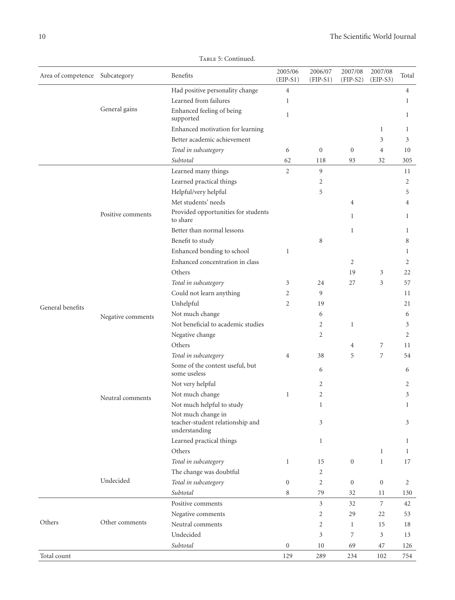|                                                           |                                                 | Benefits                                                                | 2005/06<br>$(EIP-S1)$ | 2006/07<br>$(FIP-S1)$ | 2007/08<br>$(FIP-S2)$ | 2007/08<br>$(EIP-S3)$ | Total          |
|-----------------------------------------------------------|-------------------------------------------------|-------------------------------------------------------------------------|-----------------------|-----------------------|-----------------------|-----------------------|----------------|
|                                                           |                                                 | Had positive personality change                                         | 4                     |                       |                       |                       | 4              |
|                                                           |                                                 | Learned from failures                                                   | $\mathbf{1}$          |                       |                       |                       | 1              |
|                                                           | General gains                                   | Enhanced feeling of being<br>supported                                  | 1                     |                       |                       |                       | 1              |
|                                                           |                                                 | Enhanced motivation for learning                                        |                       |                       |                       | 1                     | 1              |
|                                                           |                                                 | Better academic achievement                                             |                       |                       |                       | 3                     | 3              |
|                                                           |                                                 | Total in subcategory                                                    | 6                     | $\boldsymbol{0}$      | $\boldsymbol{0}$      | $\overline{4}$        | 10             |
|                                                           |                                                 | Subtotal                                                                | 62                    | 118                   | 93                    | 32                    | 305            |
|                                                           |                                                 | Learned many things                                                     | $\overline{2}$        | 9                     |                       |                       | 11             |
|                                                           |                                                 | Learned practical things                                                |                       | 2                     |                       |                       | $\overline{2}$ |
|                                                           |                                                 | Helpful/very helpful                                                    |                       | 5                     |                       |                       | 5              |
|                                                           |                                                 | Met students' needs                                                     |                       |                       | 4                     |                       | 4              |
|                                                           | Positive comments                               | Provided opportunities for students<br>to share                         |                       |                       | 1                     |                       | 1              |
| Area of competence Subcategory<br>Total count             |                                                 | Better than normal lessons                                              |                       |                       | $\mathbf{1}$          |                       | 1              |
|                                                           |                                                 | Benefit to study                                                        |                       | 8                     |                       |                       | 8              |
|                                                           |                                                 | Enhanced bonding to school                                              | 1                     |                       |                       |                       | 1              |
|                                                           |                                                 | Enhanced concentration in class                                         |                       |                       | 2                     |                       | 2              |
|                                                           |                                                 | Others                                                                  |                       |                       | 19                    | 3                     | 22             |
|                                                           |                                                 | Total in subcategory                                                    | 3                     | 24                    | 27                    | 3                     | 57             |
|                                                           |                                                 | Could not learn anything                                                | 2                     | 9                     |                       |                       | 11             |
|                                                           |                                                 | Unhelpful                                                               | $\overline{2}$        | 19                    |                       |                       | 21             |
|                                                           |                                                 | Not much change                                                         |                       | 6                     |                       |                       | 6              |
|                                                           |                                                 | Not beneficial to academic studies                                      |                       | 2                     | $\mathbf{1}$          |                       | 3              |
|                                                           |                                                 | Negative change                                                         |                       | 2                     |                       |                       | 2              |
|                                                           |                                                 | Others                                                                  |                       |                       | $\overline{4}$        | 7                     | 11             |
|                                                           |                                                 | Total in subcategory                                                    | $\overline{4}$        | 38                    | 5                     | 7                     | 54             |
| General benefits<br>Negative comments<br>Neutral comments | Some of the content useful, but<br>some useless |                                                                         | 6                     |                       |                       | 6                     |                |
|                                                           |                                                 | Not very helpful                                                        |                       | 2                     |                       |                       | 2              |
|                                                           |                                                 | Not much change                                                         | $\mathbf{1}$          | 2                     |                       |                       | 3              |
|                                                           |                                                 | Not much helpful to study                                               |                       | 1                     |                       |                       |                |
|                                                           |                                                 | Not much change in<br>teacher-student relationship and<br>understanding |                       | 3                     |                       |                       | 3              |
|                                                           |                                                 | Learned practical things                                                |                       | $\mathbf{1}$          |                       |                       | $\mathbf{1}$   |
|                                                           |                                                 | Others                                                                  |                       |                       |                       | $\mathbf{1}$          | $\mathbf{1}$   |
|                                                           |                                                 | Total in subcategory                                                    | $\mathbf{1}$          | 15                    | $\boldsymbol{0}$      | $\mathbf{1}$          | 17             |
|                                                           |                                                 | The change was doubtful                                                 |                       | 2                     |                       |                       |                |
|                                                           | Undecided                                       | Total in subcategory                                                    | $\overline{0}$        | 2                     | $\boldsymbol{0}$      | $\overline{0}$        | 2              |
|                                                           |                                                 | Subtotal                                                                | 8                     | 79                    | 32                    | 11                    | 130            |
|                                                           |                                                 | Positive comments                                                       |                       | 3                     | 32                    | $\overline{7}$        | 42             |
|                                                           |                                                 | Negative comments                                                       |                       | 2                     | 29                    | 22                    | 53             |
| Others                                                    | Other comments                                  | Neutral comments                                                        |                       | 2                     | 1                     | 15                    | 18             |
|                                                           |                                                 | Undecided                                                               |                       | 3                     | 7                     | 3                     | 13             |
|                                                           |                                                 | Subtotal                                                                | $\boldsymbol{0}$      | 10                    | 69                    | 47                    | 126            |
|                                                           |                                                 |                                                                         | 129                   | 289                   | 234                   | 102                   | 754            |
|                                                           |                                                 |                                                                         |                       |                       |                       |                       |                |

TABLE 5: Continued.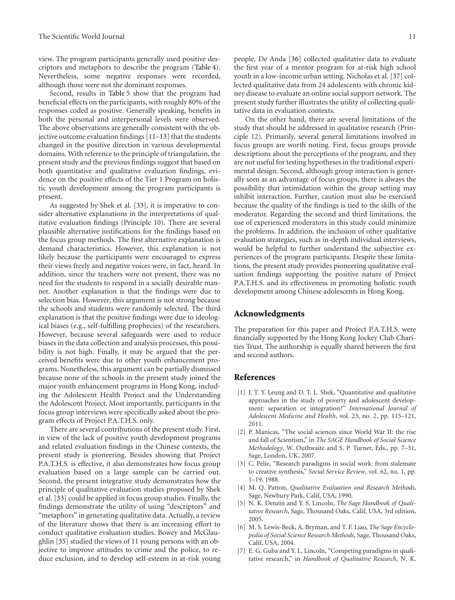view. The program participants generally used positive descriptors and metaphors to describe the program (Table 4). Nevertheless, some negative responses were recorded, although those were not the dominant responses.

Second, results in Table 5 show that the program had beneficial effects on the participants, with roughly 80% of the responses coded as positive. Generally speaking, benefits in both the personal and interpersonal levels were observed. The above observations are generally consistent with the objective outcome evaluation findings [11–13] that the students changed in the positive direction in various developmental domains. With reference to the principle of triangulation, the present study and the previous findings suggest that based on both quantitative and qualitative evaluation findings, evidence on the positive effects of the Tier 1 Program on holistic youth development among the program participants is present.

As suggested by Shek et al. [33], it is imperative to consider alternative explanations in the interpretations of qualitative evaluation findings (Principle 10). There are several plausible alternative justifications for the findings based on the focus group methods. The first alternative explanation is demand characteristics. However, this explanation is not likely because the participants were encouraged to express their views freely and negative voices were, in fact, heard. In addition, since the teachers were not present, there was no need for the students to respond in a socially desirable manner. Another explanation is that the findings were due to selection bias. However, this argument is not strong because the schools and students were randomly selected. The third explanation is that the positive findings were due to ideological biases (e.g., self-fulfilling prophecies) of the researchers. However, because several safeguards were used to reduce biases in the data collection and analysis processes, this possibility is not high. Finally, it may be argued that the perceived benefits were due to other youth enhancement programs. Nonetheless, this argument can be partially dismissed because none of the schools in the present study joined the major youth enhancement programs in Hong Kong, including the Adolescent Health Project and the Understanding the Adolescent Project. Most importantly, participants in the focus group interviews were specifically asked about the program effects of Project P.A.T.H.S. only.

There are several contributions of the present study. First, in view of the lack of positive youth development programs and related evaluation findings in the Chinese contexts, the present study is pioneering. Besides showing that Project P.A.T.H.S. is effective, it also demonstrates how focus group evaluation based on a large sample can be carried out. Second, the present integrative study demonstrates how the principle of qualitative evaluation studies proposed by Shek et al. [33] could be applied in focus group studies. Finally, the findings demonstrate the utility of using "descriptors" and "metaphors" in generating qualitative data. Actually, a review of the literature shows that there is an increasing effort to conduct qualitative evaluation studies. Bowey and McGlaughlin [35] studied the views of 11 young persons with an objective to improve attitudes to crime and the police, to reduce exclusion, and to develop self-esteem in at-risk young

people. De Anda [36] collected qualitative data to evaluate the first year of a mentor program for at-risk high school youth in a low-income urban setting. Nicholas et al. [37] collected qualitative data from 24 adolescents with chronic kidney disease to evaluate an online social support network. The present study further illustrates the utility of collecting qualitative data in evaluation contexts.

On the other hand, there are several limitations of the study that should be addressed in qualitative research (Principle 12). Primarily, several general limitations involved in focus groups are worth noting. First, focus groups provide descriptions about the perceptions of the program, and they are not useful for testing hypotheses in the traditional experimental design. Second, although group interaction is generally seen as an advantage of focus groups, there is always the possibility that intimidation within the group setting may inhibit interaction. Further, caution must also be exercised because the quality of the findings is tied to the skills of the moderator. Regarding the second and third limitations, the use of experienced moderators in this study could minimize the problems. In addition, the inclusion of other qualitative evaluation strategies, such as in-depth individual interviews, would be helpful to further understand the subjective experiences of the program participants. Despite these limitations, the present study provides pioneering qualitative evaluation findings supporting the positive nature of Project P.A.T.H.S. and its effectiveness in promoting holistic youth development among Chinese adolescents in Hong Kong.

#### **Acknowledgments**

The preparation for this paper and Project P.A.T.H.S. were financially supported by the Hong Kong Jockey Club Charities Trust. The authorship is equally shared between the first and second authors.

#### **References**

- [1] J. T. Y. Leung and D. T. L. Shek, "Quantitative and qualitative approaches in the study of poverty and adolescent development: separation or integration?" *International Journal of Adolescent Medicine and Health*, vol. 23, no. 2, pp. 115–121, 2011.
- [2] P. Manicas, "The social sciences since World War II: the rise and fall of Scientism," in *The SAGE Handbook of Social Science Methodology*, W. Outhwaite and S. P. Turner, Eds., pp. 7–31, Sage, London, UK, 2007.
- [3] C. Pelie, "Research paradigms in social work: from stalemate to creative synthesis," *Social Service Review*, vol. 62, no. 1, pp. 1–19, 1988.
- [4] M. Q. Patton, *Qualitative Evaluation and Research Methods*, Sage, Newbury Park, Calif, USA, 1990.
- [5] N. K. Denzin and Y. S. Lincoln, *The Sage Handbook of Qualitative Research*, Sage, Thousand Oaks, Calif, USA, 3rd edition, 2005.
- [6] M. S. Lewis-Beck, A. Bryman, and T. F. Liao, *The Sage Encyclopedia of Social Science Research Methods*, Sage, Thousand Oaks, Calif, USA, 2004.
- [7] E. G. Guba and Y. L. Lincoln, "Competing paradigms in qualitative research," in *Handbook of Qualitative Research*, N. K.